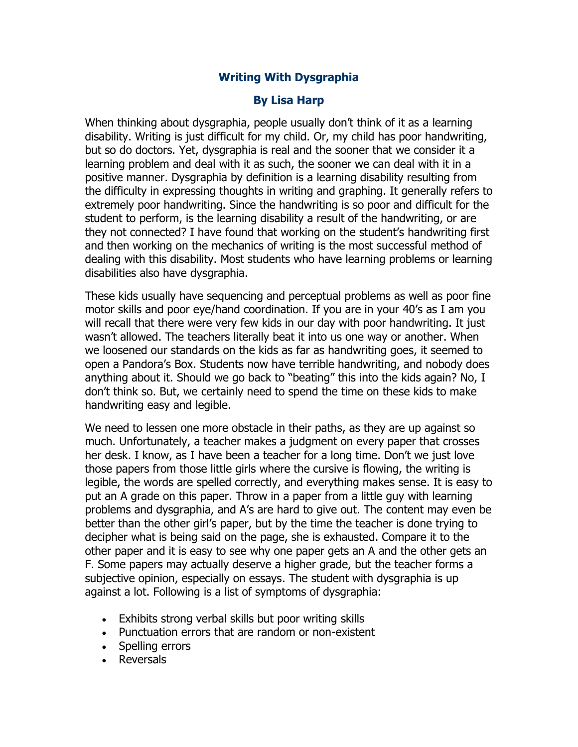## **Writing With Dysgraphia**

## **By Lisa Harp**

When thinking about dysgraphia, people usually don't think of it as a learning disability. Writing is just difficult for my child. Or, my child has poor handwriting, but so do doctors. Yet, dysgraphia is real and the sooner that we consider it a learning problem and deal with it as such, the sooner we can deal with it in a positive manner. Dysgraphia by definition is a learning disability resulting from the difficulty in expressing thoughts in writing and graphing. It generally refers to extremely poor handwriting. Since the handwriting is so poor and difficult for the student to perform, is the learning disability a result of the handwriting, or are they not connected? I have found that working on the student's handwriting first and then working on the mechanics of writing is the most successful method of dealing with this disability. Most students who have learning problems or learning disabilities also have dysgraphia.

These kids usually have sequencing and perceptual problems as well as poor fine motor skills and poor eye/hand coordination. If you are in your 40's as I am you will recall that there were very few kids in our day with poor handwriting. It just wasn't allowed. The teachers literally beat it into us one way or another. When we loosened our standards on the kids as far as handwriting goes, it seemed to open a Pandora's Box. Students now have terrible handwriting, and nobody does anything about it. Should we go back to "beating" this into the kids again? No, I don't think so. But, we certainly need to spend the time on these kids to make handwriting easy and legible.

We need to lessen one more obstacle in their paths, as they are up against so much. Unfortunately, a teacher makes a judgment on every paper that crosses her desk. I know, as I have been a teacher for a long time. Don't we just love those papers from those little girls where the cursive is flowing, the writing is legible, the words are spelled correctly, and everything makes sense. It is easy to put an A grade on this paper. Throw in a paper from a little guy with learning problems and dysgraphia, and A's are hard to give out. The content may even be better than the other girl's paper, but by the time the teacher is done trying to decipher what is being said on the page, she is exhausted. Compare it to the other paper and it is easy to see why one paper gets an A and the other gets an F. Some papers may actually deserve a higher grade, but the teacher forms a subjective opinion, especially on essays. The student with dysgraphia is up against a lot. Following is a list of symptoms of dysgraphia:

- Exhibits strong verbal skills but poor writing skills
- Punctuation errors that are random or non-existent
- Spelling errors
- Reversals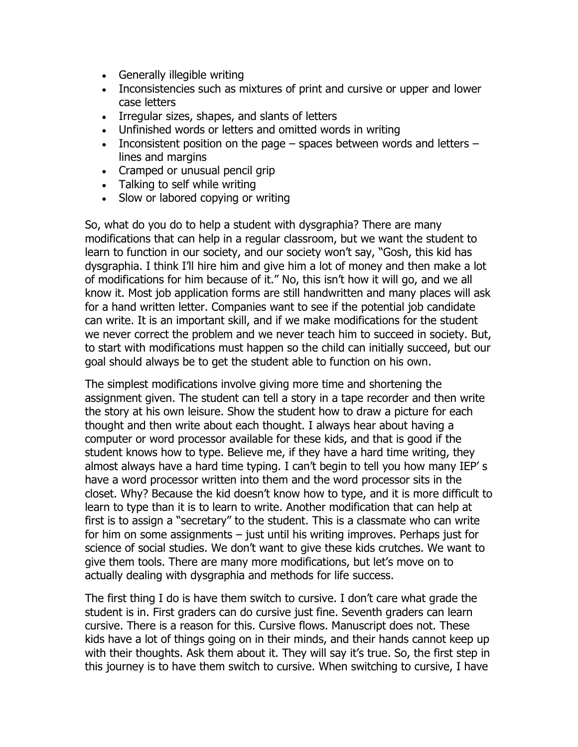- Generally illegible writing
- Inconsistencies such as mixtures of print and cursive or upper and lower case letters
- Irregular sizes, shapes, and slants of letters
- Unfinished words or letters and omitted words in writing
- Inconsistent position on the page  $-$  spaces between words and letters  $$ lines and margins
- Cramped or unusual pencil grip
- Talking to self while writing
- Slow or labored copying or writing

So, what do you do to help a student with dysgraphia? There are many modifications that can help in a regular classroom, but we want the student to learn to function in our society, and our society won't say, "Gosh, this kid has dysgraphia. I think I'll hire him and give him a lot of money and then make a lot of modifications for him because of it." No, this isn't how it will go, and we all know it. Most job application forms are still handwritten and many places will ask for a hand written letter. Companies want to see if the potential job candidate can write. It is an important skill, and if we make modifications for the student we never correct the problem and we never teach him to succeed in society. But, to start with modifications must happen so the child can initially succeed, but our goal should always be to get the student able to function on his own.

The simplest modifications involve giving more time and shortening the assignment given. The student can tell a story in a tape recorder and then write the story at his own leisure. Show the student how to draw a picture for each thought and then write about each thought. I always hear about having a computer or word processor available for these kids, and that is good if the student knows how to type. Believe me, if they have a hard time writing, they almost always have a hard time typing. I can't begin to tell you how many IEP' s have a word processor written into them and the word processor sits in the closet. Why? Because the kid doesn't know how to type, and it is more difficult to learn to type than it is to learn to write. Another modification that can help at first is to assign a "secretary" to the student. This is a classmate who can write for him on some assignments – just until his writing improves. Perhaps just for science of social studies. We don't want to give these kids crutches. We want to give them tools. There are many more modifications, but let's move on to actually dealing with dysgraphia and methods for life success.

The first thing I do is have them switch to cursive. I don't care what grade the student is in. First graders can do cursive just fine. Seventh graders can learn cursive. There is a reason for this. Cursive flows. Manuscript does not. These kids have a lot of things going on in their minds, and their hands cannot keep up with their thoughts. Ask them about it. They will say it's true. So, the first step in this journey is to have them switch to cursive. When switching to cursive, I have